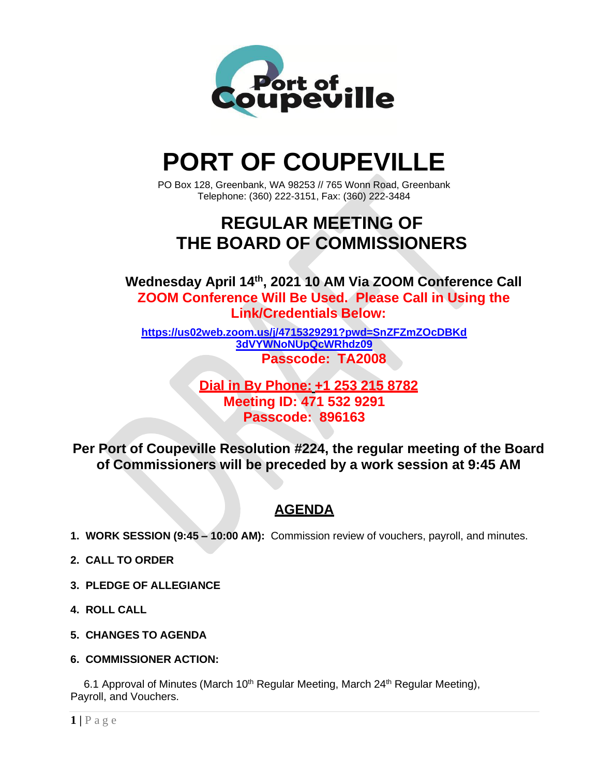

# **PORT OF COUPEVILLE**

PO Box 128, Greenbank, WA 98253 // 765 Wonn Road, Greenbank Telephone: (360) 222-3151, Fax: (360) 222-3484

## **REGULAR MEETING OF THE BOARD OF COMMISSIONERS**

**Wednesday April 14 th , 2021 10 AM Via ZOOM Conference Call ZOOM Conference Will Be Used. Please Call in Using the Link/Credentials Below:**

**[https://us02web.zoom.us/j/4715329291?pwd=SnZFZmZOcDBKd](https://us02web.zoom.us/j/4715329291?pwd=SnZFZmZOcDBKd3dVYWNoNUpQcWRhdz09) [3dVYWNoNUpQcWRhdz09](https://us02web.zoom.us/j/4715329291?pwd=SnZFZmZOcDBKd3dVYWNoNUpQcWRhdz09) Passcode: TA2008**

> **Dial in By Phone: +1 253 215 8782 Meeting ID: 471 532 9291 Passcode: 896163**

**Per Port of Coupeville Resolution #224, the regular meeting of the Board of Commissioners will be preceded by a work session at 9:45 AM**

### **AGENDA**

- **1. WORK SESSION (9:45 – 10:00 AM):** Commission review of vouchers, payroll, and minutes.
- **2. CALL TO ORDER**
- **3. PLEDGE OF ALLEGIANCE**
- **4. ROLL CALL**
- **5. CHANGES TO AGENDA**
- **6. COMMISSIONER ACTION:**

6.1 Approval of Minutes (March 10<sup>th</sup> Regular Meeting, March 24<sup>th</sup> Regular Meeting), Payroll, and Vouchers.